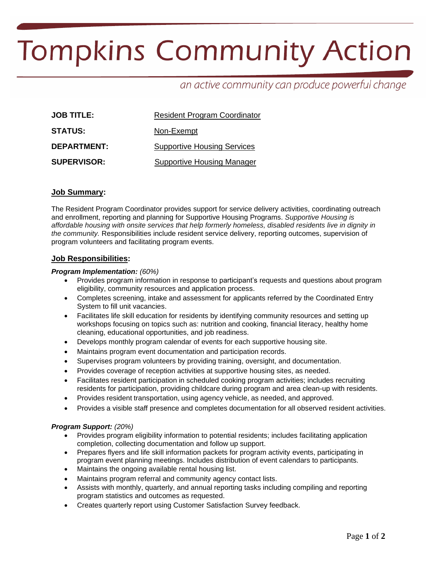# **Tompkins Community Action**

# an active community can produce powerful change

| <b>JOB TITLE:</b>  | <b>Resident Program Coordinator</b> |  |  |
|--------------------|-------------------------------------|--|--|
| <b>STATUS:</b>     | Non-Exempt                          |  |  |
| <b>DEPARTMENT:</b> | <b>Supportive Housing Services</b>  |  |  |
| <b>SUPERVISOR:</b> | <b>Supportive Housing Manager</b>   |  |  |

# **Job Summary:**

The Resident Program Coordinator provides support for service delivery activities, coordinating outreach and enrollment, reporting and planning for Supportive Housing Programs. *Supportive Housing is affordable housing with onsite services that help formerly homeless, disabled residents live in dignity in the community.* Responsibilities include resident service delivery, reporting outcomes, supervision of program volunteers and facilitating program events.

# **Job Responsibilities:**

#### *Program Implementation: (60%)*

- Provides program information in response to participant's requests and questions about program eligibility, community resources and application process.
- Completes screening, intake and assessment for applicants referred by the Coordinated Entry System to fill unit vacancies.
- Facilitates life skill education for residents by identifying community resources and setting up workshops focusing on topics such as: nutrition and cooking, financial literacy, healthy home cleaning, educational opportunities, and job readiness.
- Develops monthly program calendar of events for each supportive housing site.
- Maintains program event documentation and participation records.
- Supervises program volunteers by providing training, oversight, and documentation.
- Provides coverage of reception activities at supportive housing sites, as needed.
- Facilitates resident participation in scheduled cooking program activities; includes recruiting residents for participation, providing childcare during program and area clean-up with residents.
- Provides resident transportation, using agency vehicle, as needed, and approved.
- Provides a visible staff presence and completes documentation for all observed resident activities.

#### *Program Support: (20%)*

- Provides program eligibility information to potential residents; includes facilitating application completion, collecting documentation and follow up support.
- Prepares flyers and life skill information packets for program activity events, participating in program event planning meetings. Includes distribution of event calendars to participants.
- Maintains the ongoing available rental housing list.
- Maintains program referral and community agency contact lists.
- Assists with monthly, quarterly, and annual reporting tasks including compiling and reporting program statistics and outcomes as requested.
- Creates quarterly report using Customer Satisfaction Survey feedback.